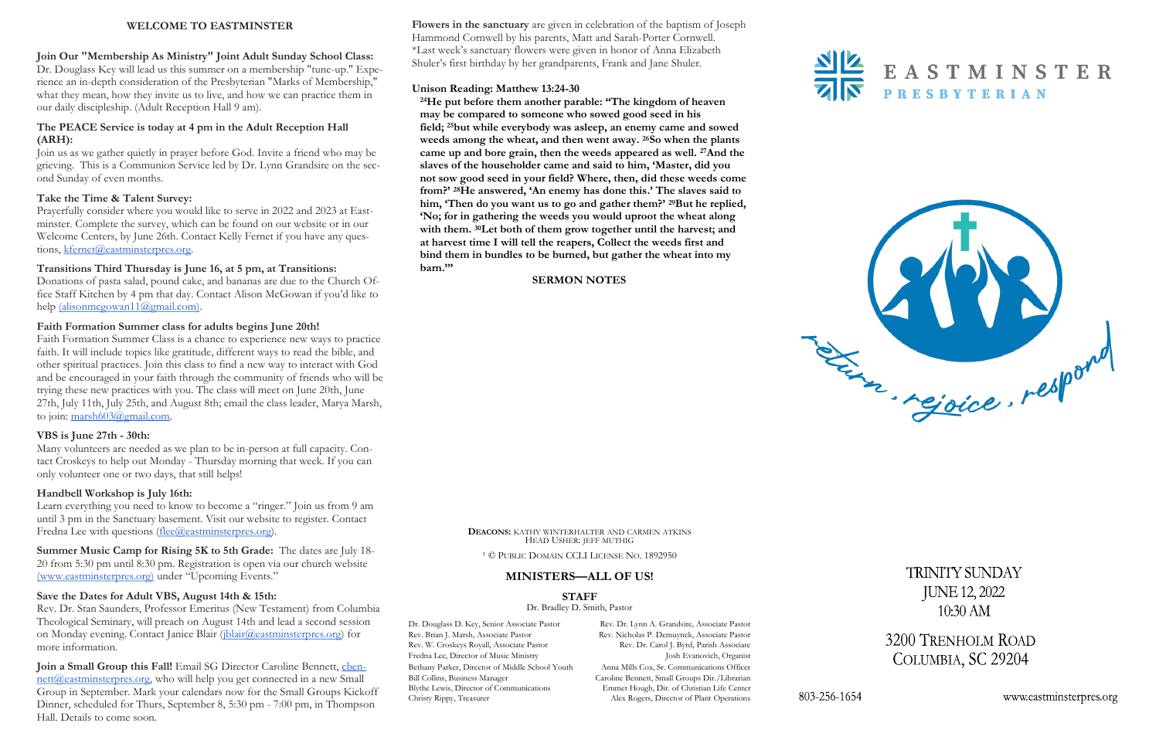**Flowers in the sanctuary** are given in celebration of the baptism of Joseph Hammond Cornwell by his parents, Matt and Sarah-Porter Cornwell. \*Last week's sanctuary flowers were given in honor of Anna Elizabeth Shuler's first birthday by her grandparents, Frank and Jane Shuler.

## **Unison Reading: Matthew 13:24-30**

**<sup>24</sup>He put before them another parable: "The kingdom of heaven may be compared to someone who sowed good seed in his field; <sup>25</sup>but while everybody was asleep, an enemy came and sowed weeds among the wheat, and then went away. <sup>26</sup>So when the plants came up and bore grain, then the weeds appeared as well. <sup>27</sup>And the slaves of the householder came and said to him, 'Master, did you not sow good seed in your field? Where, then, did these weeds come from?' <sup>28</sup>He answered, 'An enemy has done this.' The slaves said to him, 'Then do you want us to go and gather them?' <sup>29</sup>But he replied, 'No; for in gathering the weeds you would uproot the wheat along with them. <sup>30</sup>Let both of them grow together until the harvest; and at harvest time I will tell the reapers, Collect the weeds first and bind them in bundles to be burned, but gather the wheat into my barn.'"** 

Prayerfully consider where you would like to serve in 2022 and 2023 at Eastminster. Complete the survey, which can be found on our website or in our Welcome Centers, by June 26th. Contact Kelly Fernet if you have any questions, [kfernet@eastminsterpres.org.](mailto:kfernet@eastminsterpres.org)

Donations of pasta salad, pound cake, and bananas are due to the Church Office Staff Kitchen by 4 pm that day. Contact Alison McGowan if you'd like to help [\(alisonmcgowan11@gmail.com\).](mailto:alisonmcgowan11@gmail.com)

## **SERMON NOTES**

## **WELCOME TO EASTMINSTER**

Faith Formation Summer Class is a chance to experience new ways to practice faith. It will include topics like gratitude, different ways to read the bible, and other spiritual practices. Join this class to find a new way to interact with God and be encouraged in your faith through the community of friends who will be trying these new practices with you. The class will meet on June 20th, June 27th, July 11th, July 25th, and August 8th; email the class leader, Marya Marsh, to join: [marsh603@gmail.com.](mailto:marsh603@gmail.com)

**Join Our "Membership As Ministry" Joint Adult Sunday School Class:** Dr. Douglass Key will lead us this summer on a membership "tune-up." Experience an in-depth consideration of the Presbyterian "Marks of Membership," what they mean, how they invite us to live, and how we can practice them in our daily discipleship. (Adult Reception Hall 9 am).

Learn everything you need to know to become a "ringer." Join us from 9 am until 3 pm in the Sanctuary basement. Visit our website to register. Contact Fredna Lee with questions  $(\text{free}(\omega)$ eastminsterpres.org).

## **The PEACE Service is today at 4 pm in the Adult Reception Hall (ARH):**

Join us as we gather quietly in prayer before God. Invite a friend who may be grieving. This is a Communion Service led by Dr. Lynn Grandsire on the second Sunday of even months.

## **Take the Time & Talent Survey:**

## **Transitions Third Thursday is June 16, at 5 pm, at Transitions:**

Dr. Douglass D. Key, Senior Associate Pastor Rev. Dr. Lynn A. Grandsire, Associate Pastor Alex Rogers, Director of Plant Operations





# **TRINITY SUNDAY JUNE 12, 2022**  $10:30$  AM

3200 TRENHOLM ROAD COLUMBIA, SC 29204

www.eastminsterpres.org

Rev. Brian J. Marsh, Associate Pastor Rev. Nicholas P. Demuynck, Associate Pastor Rev. W. Croskeys Royall, Associate Pastor Rev. Dr. Carol J. Byrd, Parish Associate Fredna Lee, Director of Music Ministry **Josh Evanovich, Organist** Josh Evanovich, Organist Bethany Parker, Director of Middle School Youth Anna Mills Cox, Sr. Communications Officer Bill Collins, Business Manager Caroline Bennett, Small Groups Dir./Librarian<br>Blythe Lewis, Director of Communications Emmet Hough, Dir. of Christian Life Center Blythe Lewis, Director of Communications Emmet Hough, Dir. of Christian Life Center Christy Rippy, Treasurer Alex Rogers, Director of Plant Operations

## **Faith Formation Summer class for adults begins June 20th!**

## **VBS is June 27th - 30th:**

Many volunteers are needed as we plan to be in-person at full capacity. Contact Croskeys to help out Monday - Thursday morning that week. If you can only volunteer one or two days, that still helps!

## **Handbell Workshop is July 16th:**

**Summer Music Camp for Rising 5K to 5th Grade:** The dates are July 18- 20 from 5:30 pm until 8:30 pm. Registration is open via our church website [\(www.eastminsterpres.org\)](about:blank) under "Upcoming Events."

## **Save the Dates for Adult VBS, August 14th & 15th:**

Rev. Dr. Stan Saunders, Professor Emeritus (New Testament) from Columbia Theological Seminary, will preach on August 14th and lead a second session on Monday evening. Contact Janice Blair ([jblair@eastminsterpres.org\)](mailto:jblair@eastminsterpres.org) for more information.

## **Join a Small Group this Fall!** Email SG Director Caroline Bennett, [cben](mailto:cbennett@eastminsterpres.org)[nett@eastminsterpres.org,](mailto:cbennett@eastminsterpres.org) who will help you get connected in a new Small Group in September. Mark your calendars now for the Small Groups Kickoff Dinner, scheduled for Thurs, September 8, 5:30 pm - 7:00 pm, in Thompson Hall. Details to come soon.



<sup>1</sup> © PUBLIC DOMAIN CCLI LICENSE NO. 1892950

## **MINISTERS—ALL OF US!**

## **STAFF**

Dr. Bradley D. Smith, Pastor